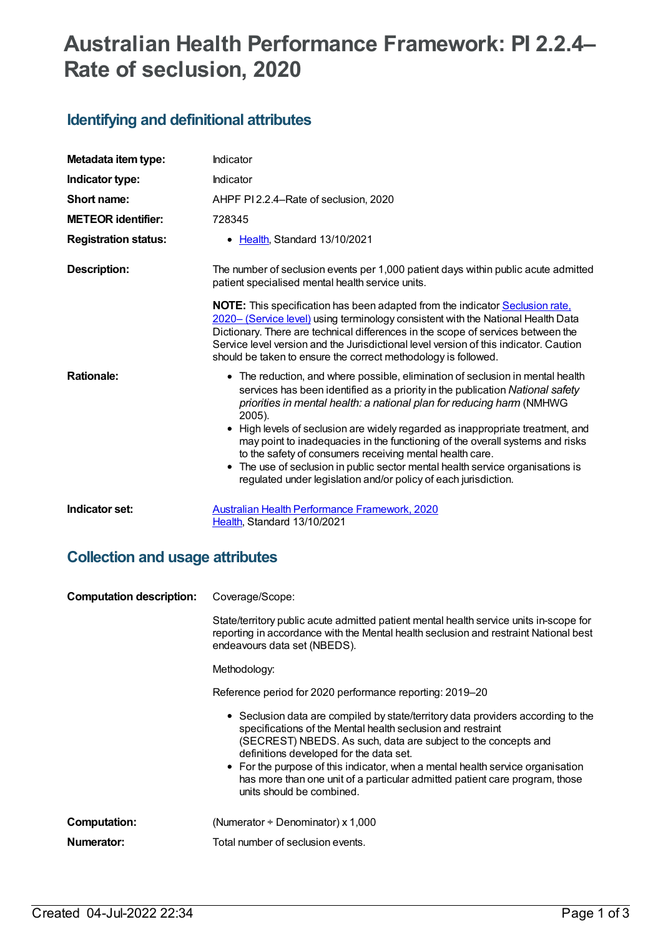# **Australian Health Performance Framework: PI 2.2.4– Rate of seclusion, 2020**

## **Identifying and definitional attributes**

| Metadata item type:         | Indicator                                                                                                                                                                                                                                                                                                                                                                                                                                                                                                                                                                                                                            |
|-----------------------------|--------------------------------------------------------------------------------------------------------------------------------------------------------------------------------------------------------------------------------------------------------------------------------------------------------------------------------------------------------------------------------------------------------------------------------------------------------------------------------------------------------------------------------------------------------------------------------------------------------------------------------------|
| Indicator type:             | Indicator                                                                                                                                                                                                                                                                                                                                                                                                                                                                                                                                                                                                                            |
| Short name:                 | AHPF PI 2.2.4–Rate of seclusion, 2020                                                                                                                                                                                                                                                                                                                                                                                                                                                                                                                                                                                                |
| <b>METEOR</b> identifier:   | 728345                                                                                                                                                                                                                                                                                                                                                                                                                                                                                                                                                                                                                               |
| <b>Registration status:</b> | • Health, Standard 13/10/2021                                                                                                                                                                                                                                                                                                                                                                                                                                                                                                                                                                                                        |
| <b>Description:</b>         | The number of seclusion events per 1,000 patient days within public acute admitted<br>patient specialised mental health service units.                                                                                                                                                                                                                                                                                                                                                                                                                                                                                               |
|                             | <b>NOTE:</b> This specification has been adapted from the indicator <b>Seclusion rate</b> ,<br>2020- (Service level) using terminology consistent with the National Health Data<br>Dictionary. There are technical differences in the scope of services between the<br>Service level version and the Jurisdictional level version of this indicator. Caution<br>should be taken to ensure the correct methodology is followed.                                                                                                                                                                                                       |
| <b>Rationale:</b>           | • The reduction, and where possible, elimination of seclusion in mental health<br>services has been identified as a priority in the publication National safety<br>priorities in mental health: a national plan for reducing harm (NMHWG<br>2005).<br>High levels of seclusion are widely regarded as inappropriate treatment, and<br>may point to inadequacies in the functioning of the overall systems and risks<br>to the safety of consumers receiving mental health care.<br>• The use of seclusion in public sector mental health service organisations is<br>regulated under legislation and/or policy of each jurisdiction. |
| Indicator set:              | Australian Health Performance Framework, 2020<br>Health, Standard 13/10/2021                                                                                                                                                                                                                                                                                                                                                                                                                                                                                                                                                         |

## **Collection and usage attributes**

| <b>Computation description:</b> | Coverage/Scope:                                                                                                                                                                                                                                                                                                                                                                                                                                            |
|---------------------------------|------------------------------------------------------------------------------------------------------------------------------------------------------------------------------------------------------------------------------------------------------------------------------------------------------------------------------------------------------------------------------------------------------------------------------------------------------------|
|                                 | State/territory public acute admitted patient mental health service units in-scope for<br>reporting in accordance with the Mental health seclusion and restraint National best<br>endeavours data set (NBEDS).                                                                                                                                                                                                                                             |
|                                 | Methodology:                                                                                                                                                                                                                                                                                                                                                                                                                                               |
|                                 | Reference period for 2020 performance reporting: 2019–20                                                                                                                                                                                                                                                                                                                                                                                                   |
|                                 | • Seclusion data are compiled by state/territory data providers according to the<br>specifications of the Mental health seclusion and restraint<br>(SECREST) NBEDS. As such, data are subject to the concepts and<br>definitions developed for the data set.<br>• For the purpose of this indicator, when a mental health service organisation<br>has more than one unit of a particular admitted patient care program, those<br>units should be combined. |
| Computation:                    | (Numerator + Denominator) x 1,000                                                                                                                                                                                                                                                                                                                                                                                                                          |
| Numerator:                      | Total number of seclusion events.                                                                                                                                                                                                                                                                                                                                                                                                                          |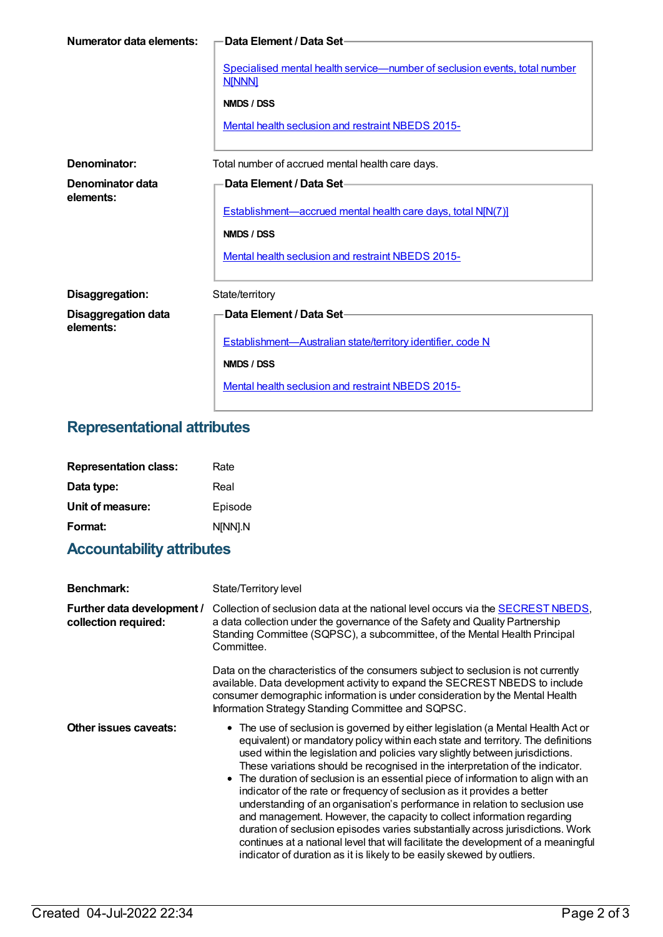| Numerator data elements:                | -Data Element / Data Set-                                                                   |
|-----------------------------------------|---------------------------------------------------------------------------------------------|
|                                         | Specialised mental health service—number of seclusion events, total number<br><b>N[NNN]</b> |
|                                         | NMDS / DSS                                                                                  |
|                                         | Mental health seclusion and restraint NBEDS 2015-                                           |
|                                         |                                                                                             |
| Denominator:                            | Total number of accrued mental health care days.                                            |
| Denominator data<br>elements:           | Data Element / Data Set-                                                                    |
|                                         | Establishment—accrued mental health care days, total N[N(7)]                                |
|                                         | NMDS / DSS                                                                                  |
|                                         | Mental health seclusion and restraint NBEDS 2015-                                           |
|                                         |                                                                                             |
| Disaggregation:                         | State/territory                                                                             |
| <b>Disaggregation data</b><br>elements: | Data Element / Data Set-                                                                    |
|                                         | Establishment-Australian state/territory identifier, code N                                 |
|                                         | NMDS / DSS                                                                                  |
|                                         | Mental health seclusion and restraint NBEDS 2015-                                           |

# **Representational attributes**

| <b>Representation class:</b> | Rate    |
|------------------------------|---------|
| Data type:                   | Real    |
| Unit of measure:             | Episode |
| Format:                      | N[NN].N |

# **Accountability attributes**

| <b>Benchmark:</b>                                  | State/Territory level                                                                                                                                                                                                                                                                                                                                                                                                                                                                                                                                                                                                                                                                                                                                                                                                                                                                                           |
|----------------------------------------------------|-----------------------------------------------------------------------------------------------------------------------------------------------------------------------------------------------------------------------------------------------------------------------------------------------------------------------------------------------------------------------------------------------------------------------------------------------------------------------------------------------------------------------------------------------------------------------------------------------------------------------------------------------------------------------------------------------------------------------------------------------------------------------------------------------------------------------------------------------------------------------------------------------------------------|
| Further data development /<br>collection required: | Collection of seclusion data at the national level occurs via the <b>SECREST NBEDS</b> ,<br>a data collection under the governance of the Safety and Quality Partnership<br>Standing Committee (SQPSC), a subcommittee, of the Mental Health Principal<br>Committee.                                                                                                                                                                                                                                                                                                                                                                                                                                                                                                                                                                                                                                            |
|                                                    | Data on the characteristics of the consumers subject to seclusion is not currently<br>available. Data development activity to expand the SECREST NBEDS to include<br>consumer demographic information is under consideration by the Mental Health<br>Information Strategy Standing Committee and SQPSC.                                                                                                                                                                                                                                                                                                                                                                                                                                                                                                                                                                                                         |
| Other issues caveats:                              | The use of seclusion is governed by either legislation (a Mental Health Act or<br>equivalent) or mandatory policy within each state and territory. The definitions<br>used within the legislation and policies vary slightly between jurisdictions.<br>These variations should be recognised in the interpretation of the indicator.<br>• The duration of seclusion is an essential piece of information to align with an<br>indicator of the rate or frequency of seclusion as it provides a better<br>understanding of an organisation's performance in relation to seclusion use<br>and management. However, the capacity to collect information regarding<br>duration of seclusion episodes varies substantially across jurisdictions. Work<br>continues at a national level that will facilitate the development of a meaningful<br>indicator of duration as it is likely to be easily skewed by outliers. |